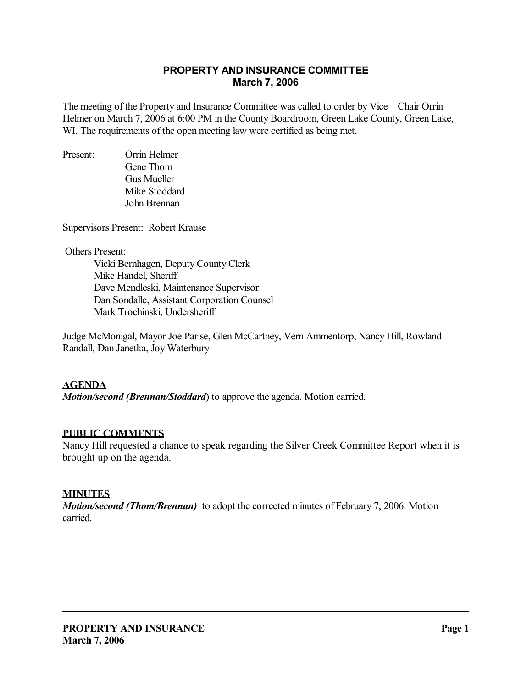## **PROPERTY AND INSURANCE COMMITTEE March 7, 2006**

The meeting of the Property and Insurance Committee was called to order by Vice – Chair Orrin Helmer on March 7, 2006 at 6:00 PM in the County Boardroom, Green Lake County, Green Lake, WI. The requirements of the open meeting law were certified as being met.

Present: Orrin Helmer Gene Thom Gus Mueller Mike Stoddard John Brennan

Supervisors Present: Robert Krause

Others Present:

 Vicki Bernhagen, Deputy County Clerk Mike Handel, Sheriff Dave Mendleski, Maintenance Supervisor Dan Sondalle, Assistant Corporation Counsel Mark Trochinski, Undersheriff

Judge McMonigal, Mayor Joe Parise, Glen McCartney, Vern Ammentorp, Nancy Hill, Rowland Randall, Dan Janetka, Joy Waterbury

## **AGENDA**

*Motion/second (Brennan/Stoddard*) to approve the agenda. Motion carried.

## **PUBLIC COMMENTS**

Nancy Hill requested a chance to speak regarding the Silver Creek Committee Report when it is brought up on the agenda.

### **MINUTES**

*Motion/second (Thom/Brennan)* to adopt the corrected minutes of February 7, 2006. Motion carried.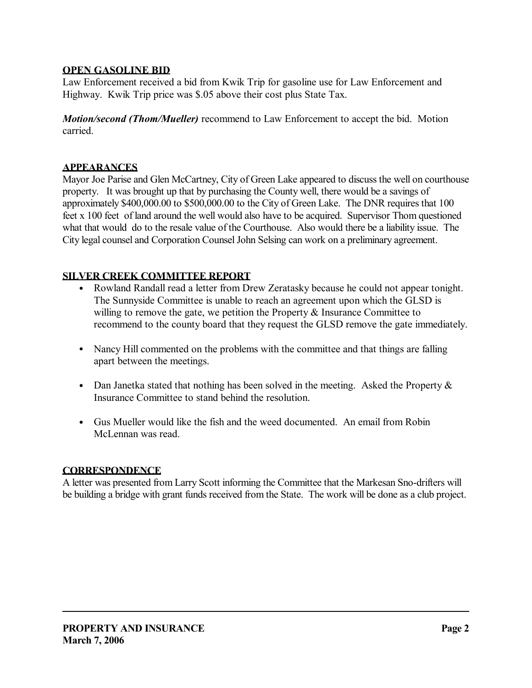## **OPEN GASOLINE BID**

Law Enforcement received a bid from Kwik Trip for gasoline use for Law Enforcement and Highway. Kwik Trip price was \$.05 above their cost plus State Tax.

*Motion/second (Thom/Mueller)* recommend to Law Enforcement to accept the bid. Motion carried.

## **APPEARANCES**

Mayor Joe Parise and Glen McCartney, City of Green Lake appeared to discuss the well on courthouse property. It was brought up that by purchasing the County well, there would be a savings of approximately \$400,000.00 to \$500,000.00 to the City of Green Lake. The DNR requires that 100 feet x 100 feet of land around the well would also have to be acquired. Supervisor Thom questioned what that would do to the resale value of the Courthouse. Also would there be a liability issue. The City legal counsel and Corporation Counsel John Selsing can work on a preliminary agreement.

## **SILVER CREEK COMMITTEE REPORT**

- Rowland Randall read a letter from Drew Zeratasky because he could not appear tonight. The Sunnyside Committee is unable to reach an agreement upon which the GLSD is willing to remove the gate, we petition the Property  $\&$  Insurance Committee to recommend to the county board that they request the GLSD remove the gate immediately.
- Nancy Hill commented on the problems with the committee and that things are falling apart between the meetings.
- Dan Janetka stated that nothing has been solved in the meeting. Asked the Property  $\&$ Insurance Committee to stand behind the resolution.
- Gus Mueller would like the fish and the weed documented. An email from Robin McLennan was read.

## **CORRESPONDENCE**

A letter was presented from Larry Scott informing the Committee that the Markesan Sno-drifters will be building a bridge with grant funds received from the State. The work will be done as a club project.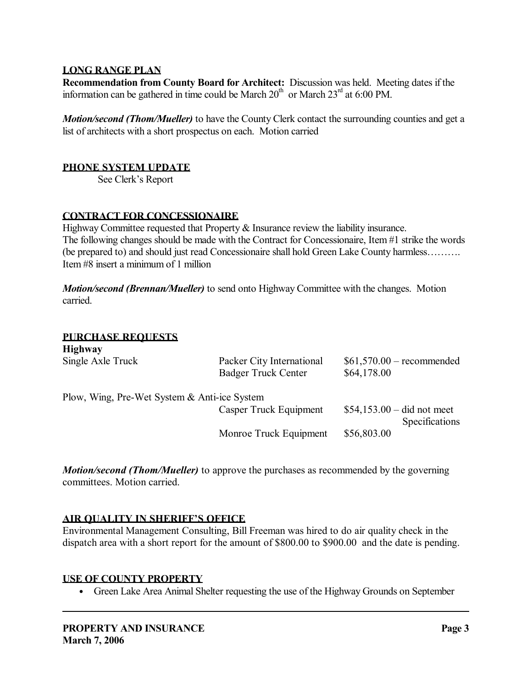## **LONG RANGE PLAN**

**Recommendation from County Board for Architect:** Discussion was held. Meeting dates if the information can be gathered in time could be March  $20<sup>th</sup>$  or March  $23<sup>rd</sup>$  at 6:00 PM.

*Motion/second (Thom/Mueller)* to have the County Clerk contact the surrounding counties and get a list of architects with a short prospectus on each. Motion carried

### **PHONE SYSTEM UPDATE**

See Clerk's Report

#### **CONTRACT FOR CONCESSIONAIRE**

Highway Committee requested that Property & Insurance review the liability insurance. The following changes should be made with the Contract for Concessionaire, Item #1 strike the words (be prepared to) and should just read Concessionaire shall hold Green Lake County harmless………. Item #8 insert a minimum of 1 million

*Motion/second (Brennan/Mueller)* to send onto Highway Committee with the changes. Motion carried.

#### **PURCHASE REQUESTS Highway**

| <b>HILLIWAY</b>                              |                                                         |                                               |
|----------------------------------------------|---------------------------------------------------------|-----------------------------------------------|
| Single Axle Truck                            | Packer City International<br><b>Badger Truck Center</b> | $$61,570.00$ – recommended<br>\$64,178.00     |
| Plow, Wing, Pre-Wet System & Anti-ice System |                                                         |                                               |
|                                              | Casper Truck Equipment                                  | $$54,153.00 - did not meet$<br>Specifications |
|                                              | Monroe Truck Equipment                                  | \$56,803.00                                   |

*Motion/second (Thom/Mueller)* to approve the purchases as recommended by the governing committees. Motion carried.

#### **AIR QUALITY IN SHERIFF'S OFFICE**

Environmental Management Consulting, Bill Freeman was hired to do air quality check in the dispatch area with a short report for the amount of \$800.00 to \$900.00 and the date is pending.

#### **USE OF COUNTY PROPERTY**

• Green Lake Area Animal Shelter requesting the use of the Highway Grounds on September